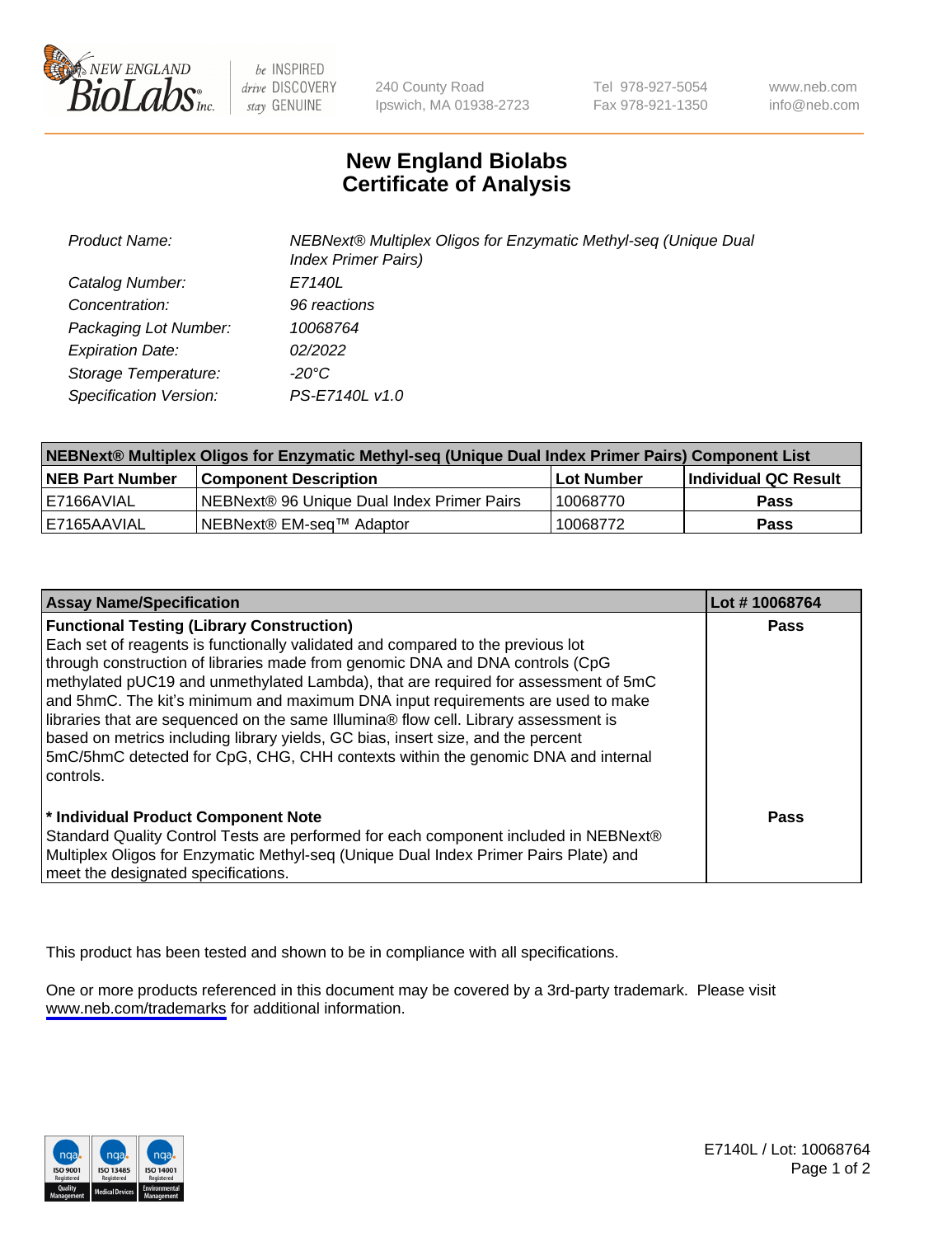

be INSPIRED drive DISCOVERY stay GENUINE

240 County Road Ipswich, MA 01938-2723 Tel 978-927-5054 Fax 978-921-1350

www.neb.com info@neb.com

## **New England Biolabs Certificate of Analysis**

| Product Name:           | NEBNext® Multiplex Oligos for Enzymatic Methyl-seq (Unique Dual<br><b>Index Primer Pairs)</b> |
|-------------------------|-----------------------------------------------------------------------------------------------|
| Catalog Number:         | E7140L                                                                                        |
| Concentration:          | 96 reactions                                                                                  |
| Packaging Lot Number:   | 10068764                                                                                      |
| <b>Expiration Date:</b> | 02/2022                                                                                       |
| Storage Temperature:    | -20°C                                                                                         |
| Specification Version:  | PS-E7140L v1.0                                                                                |

| NEBNext® Multiplex Oligos for Enzymatic Methyl-seq (Unique Dual Index Primer Pairs) Component List |                                                   |            |                      |  |
|----------------------------------------------------------------------------------------------------|---------------------------------------------------|------------|----------------------|--|
| <b>NEB Part Number</b>                                                                             | <b>Component Description</b>                      | Lot Number | Individual QC Result |  |
| I E7166AVIAL                                                                                       | <b>NEBNext® 96 Unique Dual Index Primer Pairs</b> | 10068770   | <b>Pass</b>          |  |
| E7165AAVIAL                                                                                        | NEBNext® EM-seq™ Adaptor                          | 10068772   | <b>Pass</b>          |  |

| <b>Assay Name/Specification</b>                                                      | Lot #10068764 |
|--------------------------------------------------------------------------------------|---------------|
| <b>Functional Testing (Library Construction)</b>                                     | Pass          |
| Each set of reagents is functionally validated and compared to the previous lot      |               |
| through construction of libraries made from genomic DNA and DNA controls (CpG        |               |
| methylated pUC19 and unmethylated Lambda), that are required for assessment of 5mC   |               |
| and 5hmC. The kit's minimum and maximum DNA input requirements are used to make      |               |
| libraries that are sequenced on the same Illumina® flow cell. Library assessment is  |               |
| based on metrics including library yields, GC bias, insert size, and the percent     |               |
| 5mC/5hmC detected for CpG, CHG, CHH contexts within the genomic DNA and internal     |               |
| l controls.                                                                          |               |
|                                                                                      |               |
| * Individual Product Component Note                                                  | Pass          |
| Standard Quality Control Tests are performed for each component included in NEBNext® |               |
| Multiplex Oligos for Enzymatic Methyl-seq (Unique Dual Index Primer Pairs Plate) and |               |
| meet the designated specifications.                                                  |               |

This product has been tested and shown to be in compliance with all specifications.

One or more products referenced in this document may be covered by a 3rd-party trademark. Please visit <www.neb.com/trademarks>for additional information.